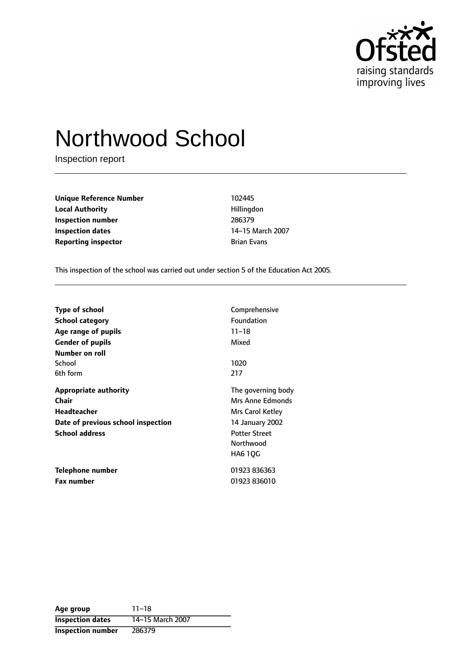

# Northwood School

Inspection report

**Unique Reference Number** 102445 **Local Authority Hillingdon Inspection number** 286379 **Inspection dates** 14-15 March 2007 **Reporting inspector Brian Evans Brian Evans** 

This inspection of the school was carried out under section 5 of the Education Act 2005.

| <b>Type of school</b>              | Comprehensive        |
|------------------------------------|----------------------|
| School category                    | Foundation           |
| Age range of pupils                | $11 - 18$            |
| <b>Gender of pupils</b>            | Mixed                |
| Number on roll                     |                      |
| School                             | 1020                 |
| 6th form                           | 217                  |
| <b>Appropriate authority</b>       | The governing body   |
| Chair                              | Mrs Anne Edmonds     |
| Headteacher                        | Mrs Carol Ketley     |
| Date of previous school inspection | 14 January 2002      |
| <b>School address</b>              | <b>Potter Street</b> |
|                                    | Northwood            |
|                                    | HA6 1QG              |
| Telephone number                   | 01923 836363         |
| <b>Fax number</b>                  | 01923 836010         |

| Age group                | $11 - 18$        |
|--------------------------|------------------|
| <b>Inspection dates</b>  | 14-15 March 2007 |
| <b>Inspection number</b> | 286379           |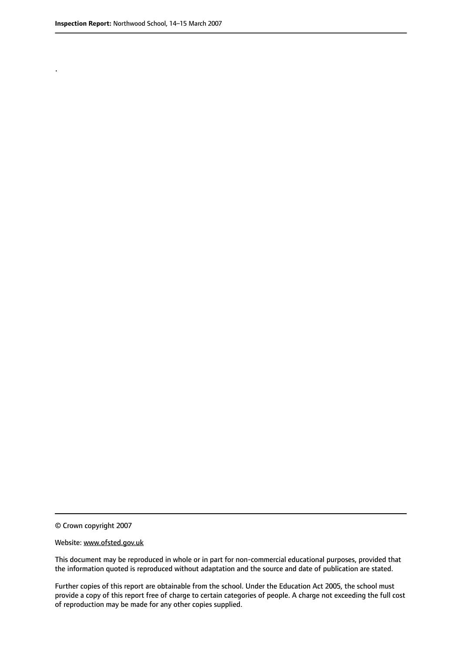.

© Crown copyright 2007

#### Website: www.ofsted.gov.uk

This document may be reproduced in whole or in part for non-commercial educational purposes, provided that the information quoted is reproduced without adaptation and the source and date of publication are stated.

Further copies of this report are obtainable from the school. Under the Education Act 2005, the school must provide a copy of this report free of charge to certain categories of people. A charge not exceeding the full cost of reproduction may be made for any other copies supplied.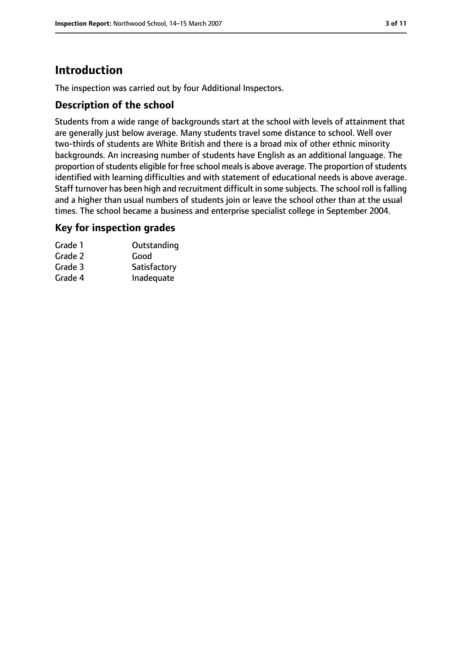# **Introduction**

The inspection was carried out by four Additional Inspectors.

## **Description of the school**

Students from a wide range of backgrounds start at the school with levels of attainment that are generally just below average. Many students travel some distance to school. Well over two-thirds of students are White British and there is a broad mix of other ethnic minority backgrounds. An increasing number of students have English as an additional language. The proportion of students eligible for free school meals is above average. The proportion of students identified with learning difficulties and with statement of educational needs is above average. Staff turnover has been high and recruitment difficult in some subjects. The school roll is falling and a higher than usual numbers of students join or leave the school other than at the usual times. The school became a business and enterprise specialist college in September 2004.

#### **Key for inspection grades**

| Grade 1 | Outstanding  |
|---------|--------------|
| Grade 2 | Good         |
| Grade 3 | Satisfactory |
| Grade 4 | Inadequate   |
|         |              |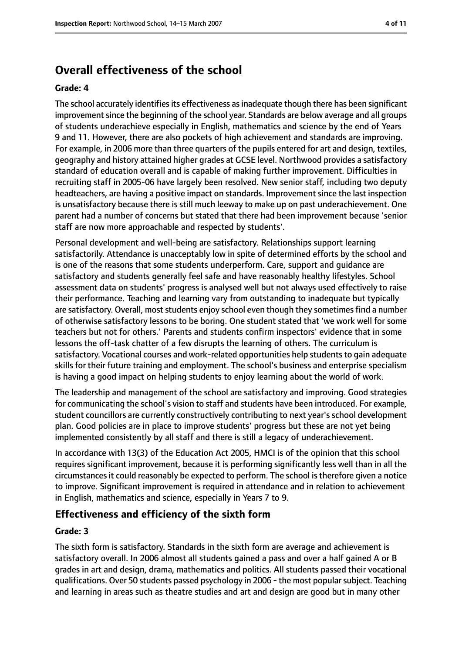# **Overall effectiveness of the school**

#### **Grade: 4**

The school accurately identifies its effectiveness as inadequate though there has been significant improvement since the beginning of the school year. Standards are below average and all groups of students underachieve especially in English, mathematics and science by the end of Years 9 and 11. However, there are also pockets of high achievement and standards are improving. For example, in 2006 more than three quarters of the pupils entered for art and design, textiles, geography and history attained higher grades at GCSE level. Northwood provides a satisfactory standard of education overall and is capable of making further improvement. Difficulties in recruiting staff in 2005-06 have largely been resolved. New senior staff, including two deputy headteachers, are having a positive impact on standards. Improvement since the last inspection is unsatisfactory because there is still much leeway to make up on past underachievement. One parent had a number of concerns but stated that there had been improvement because 'senior staff are now more approachable and respected by students'.

Personal development and well-being are satisfactory. Relationships support learning satisfactorily. Attendance is unacceptably low in spite of determined efforts by the school and is one of the reasons that some students underperform. Care, support and guidance are satisfactory and students generally feel safe and have reasonably healthy lifestyles. School assessment data on students' progress is analysed well but not always used effectively to raise their performance. Teaching and learning vary from outstanding to inadequate but typically are satisfactory. Overall, most students enjoy school even though they sometimes find a number of otherwise satisfactory lessons to be boring. One student stated that 'we work well for some teachers but not for others.' Parents and students confirm inspectors' evidence that in some lessons the off-task chatter of a few disrupts the learning of others. The curriculum is satisfactory. Vocational courses and work-related opportunities help students to gain adequate skills for their future training and employment. The school's business and enterprise specialism is having a good impact on helping students to enjoy learning about the world of work.

The leadership and management of the school are satisfactory and improving. Good strategies for communicating the school's vision to staff and students have been introduced. For example, student councillors are currently constructively contributing to next year's school development plan. Good policies are in place to improve students' progress but these are not yet being implemented consistently by all staff and there is still a legacy of underachievement.

In accordance with 13(3) of the Education Act 2005, HMCI is of the opinion that this school requires significant improvement, because it is performing significantly less well than in all the circumstances it could reasonably be expected to perform. The school is therefore given a notice to improve. Significant improvement is required in attendance and in relation to achievement in English, mathematics and science, especially in Years 7 to 9.

#### **Effectiveness and efficiency of the sixth form**

#### **Grade: 3**

The sixth form is satisfactory. Standards in the sixth form are average and achievement is satisfactory overall. In 2006 almost all students gained a pass and over a half gained A or B grades in art and design, drama, mathematics and politics. All students passed their vocational qualifications. Over 50 students passed psychology in 2006 - the most popular subject. Teaching and learning in areas such as theatre studies and art and design are good but in many other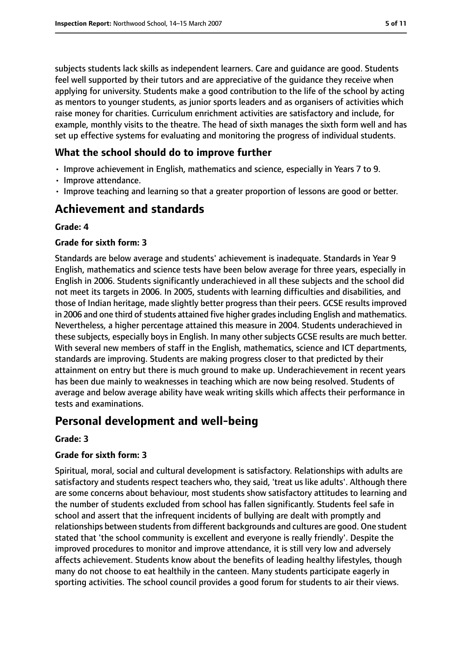subjects students lack skills as independent learners. Care and guidance are good. Students feel well supported by their tutors and are appreciative of the guidance they receive when applying for university. Students make a good contribution to the life of the school by acting as mentors to younger students, as junior sports leaders and as organisers of activities which raise money for charities. Curriculum enrichment activities are satisfactory and include, for example, monthly visits to the theatre. The head of sixth manages the sixth form well and has set up effective systems for evaluating and monitoring the progress of individual students.

## **What the school should do to improve further**

- Improve achievement in English, mathematics and science, especially in Years 7 to 9.
- Improve attendance.
- Improve teaching and learning so that a greater proportion of lessons are good or better.

# **Achievement and standards**

#### **Grade: 4**

#### **Grade for sixth form: 3**

Standards are below average and students' achievement is inadequate. Standards in Year 9 English, mathematics and science tests have been below average for three years, especially in English in 2006. Students significantly underachieved in all these subjects and the school did not meet its targets in 2006. In 2005, students with learning difficulties and disabilities, and those of Indian heritage, made slightly better progress than their peers. GCSE results improved in 2006 and one third of students attained five higher grades including English and mathematics. Nevertheless, a higher percentage attained this measure in 2004. Students underachieved in these subjects, especially boys in English. In many other subjects GCSE results are much better. With several new members of staff in the English, mathematics, science and ICT departments, standards are improving. Students are making progress closer to that predicted by their attainment on entry but there is much ground to make up. Underachievement in recent years has been due mainly to weaknesses in teaching which are now being resolved. Students of average and below average ability have weak writing skills which affects their performance in tests and examinations.

# **Personal development and well-being**

#### **Grade: 3**

#### **Grade for sixth form: 3**

Spiritual, moral, social and cultural development is satisfactory. Relationships with adults are satisfactory and students respect teachers who, they said, 'treat us like adults'. Although there are some concerns about behaviour, most students show satisfactory attitudes to learning and the number of students excluded from school has fallen significantly. Students feel safe in school and assert that the infrequent incidents of bullying are dealt with promptly and relationships between students from different backgrounds and cultures are good. One student stated that 'the school community is excellent and everyone is really friendly'. Despite the improved procedures to monitor and improve attendance, it is still very low and adversely affects achievement. Students know about the benefits of leading healthy lifestyles, though many do not choose to eat healthily in the canteen. Many students participate eagerly in sporting activities. The school council provides a good forum for students to air their views.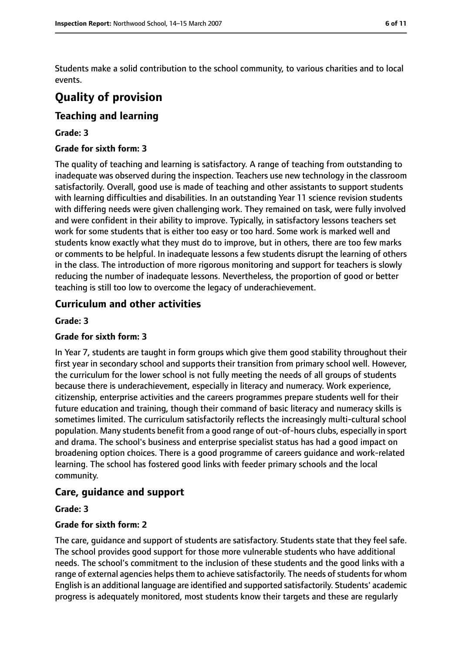Students make a solid contribution to the school community, to various charities and to local events.

# **Quality of provision**

## **Teaching and learning**

#### **Grade: 3**

#### **Grade for sixth form: 3**

The quality of teaching and learning is satisfactory. A range of teaching from outstanding to inadequate was observed during the inspection. Teachers use new technology in the classroom satisfactorily. Overall, good use is made of teaching and other assistants to support students with learning difficulties and disabilities. In an outstanding Year 11 science revision students with differing needs were given challenging work. They remained on task, were fully involved and were confident in their ability to improve. Typically, in satisfactory lessons teachers set work for some students that is either too easy or too hard. Some work is marked well and students know exactly what they must do to improve, but in others, there are too few marks or comments to be helpful. In inadequate lessons a few students disrupt the learning of others in the class. The introduction of more rigorous monitoring and support for teachers is slowly reducing the number of inadequate lessons. Nevertheless, the proportion of good or better teaching is still too low to overcome the legacy of underachievement.

## **Curriculum and other activities**

#### **Grade: 3**

#### **Grade for sixth form: 3**

In Year 7, students are taught in form groups which give them good stability throughout their first year in secondary school and supports their transition from primary school well. However, the curriculum for the lower school is not fully meeting the needs of all groups of students because there is underachievement, especially in literacy and numeracy. Work experience, citizenship, enterprise activities and the careers programmes prepare students well for their future education and training, though their command of basic literacy and numeracy skills is sometimes limited. The curriculum satisfactorily reflects the increasingly multi-cultural school population. Many students benefit from a good range of out-of-hours clubs, especially in sport and drama. The school's business and enterprise specialist status has had a good impact on broadening option choices. There is a good programme of careers guidance and work-related learning. The school has fostered good links with feeder primary schools and the local community.

#### **Care, guidance and support**

#### **Grade: 3**

#### **Grade for sixth form: 2**

The care, guidance and support of students are satisfactory. Students state that they feel safe. The school provides good support for those more vulnerable students who have additional needs. The school's commitment to the inclusion of these students and the good links with a range of external agencies helps them to achieve satisfactorily. The needs of students for whom English is an additional language are identified and supported satisfactorily. Students' academic progress is adequately monitored, most students know their targets and these are regularly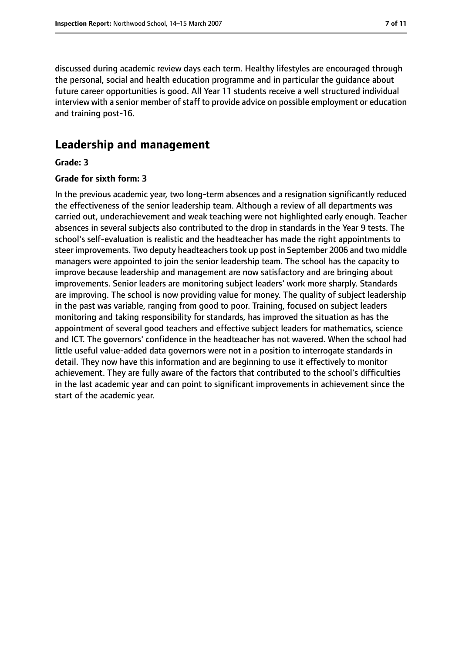discussed during academic review days each term. Healthy lifestyles are encouraged through the personal, social and health education programme and in particular the guidance about future career opportunities is good. All Year 11 students receive a well structured individual interview with a senior member of staff to provide advice on possible employment or education and training post-16.

# **Leadership and management**

#### **Grade: 3**

#### **Grade for sixth form: 3**

In the previous academic year, two long-term absences and a resignation significantly reduced the effectiveness of the senior leadership team. Although a review of all departments was carried out, underachievement and weak teaching were not highlighted early enough. Teacher absences in several subjects also contributed to the drop in standards in the Year 9 tests. The school's self-evaluation is realistic and the headteacher has made the right appointments to steer improvements. Two deputy headteachers took up post in September 2006 and two middle managers were appointed to join the senior leadership team. The school has the capacity to improve because leadership and management are now satisfactory and are bringing about improvements. Senior leaders are monitoring subject leaders' work more sharply. Standards are improving. The school is now providing value for money. The quality of subject leadership in the past was variable, ranging from good to poor. Training, focused on subject leaders monitoring and taking responsibility for standards, has improved the situation as has the appointment of several good teachers and effective subject leaders for mathematics, science and ICT. The governors' confidence in the headteacher has not wavered. When the school had little useful value-added data governors were not in a position to interrogate standards in detail. They now have this information and are beginning to use it effectively to monitor achievement. They are fully aware of the factors that contributed to the school's difficulties in the last academic year and can point to significant improvements in achievement since the start of the academic year.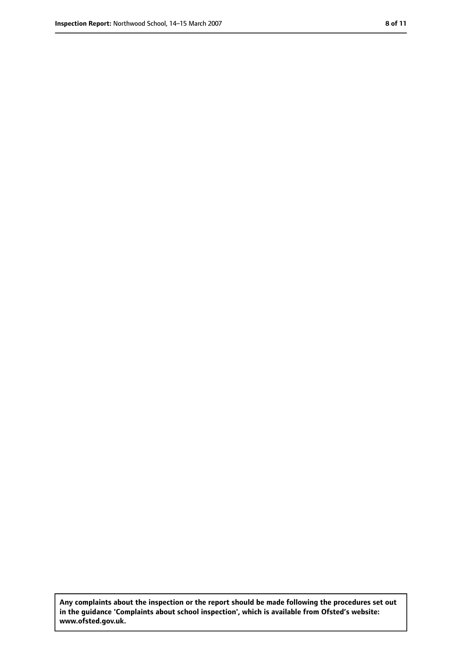**Any complaints about the inspection or the report should be made following the procedures set out in the guidance 'Complaints about school inspection', which is available from Ofsted's website: www.ofsted.gov.uk.**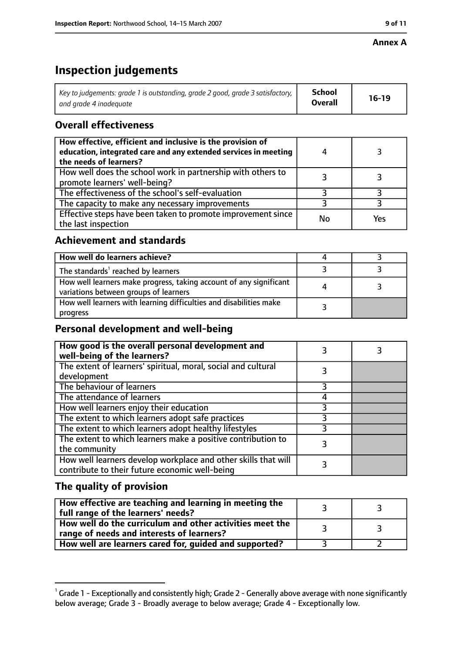#### **Annex A**

# **Inspection judgements**

| Key to judgements: grade 1 is outstanding, grade 2 good, grade 3 satisfactory, $\vert$ | School         | $16-19$ |
|----------------------------------------------------------------------------------------|----------------|---------|
| and arade 4 inadeauate                                                                 | <b>Overall</b> |         |

# **Overall effectiveness**

| How effective, efficient and inclusive is the provision of<br>education, integrated care and any extended services in meeting<br>the needs of learners? |    |     |
|---------------------------------------------------------------------------------------------------------------------------------------------------------|----|-----|
| How well does the school work in partnership with others to<br>promote learners' well-being?                                                            |    |     |
| The effectiveness of the school's self-evaluation                                                                                                       |    |     |
| The capacity to make any necessary improvements                                                                                                         |    |     |
| Effective steps have been taken to promote improvement since<br>the last inspection                                                                     | No | Yes |

# **Achievement and standards**

| How well do learners achieve?                                                                               |  |
|-------------------------------------------------------------------------------------------------------------|--|
| The standards <sup>1</sup> reached by learners                                                              |  |
| How well learners make progress, taking account of any significant<br>variations between groups of learners |  |
| How well learners with learning difficulties and disabilities make<br>progress                              |  |

# **Personal development and well-being**

| How good is the overall personal development and<br>well-being of the learners?                                  |  |
|------------------------------------------------------------------------------------------------------------------|--|
| The extent of learners' spiritual, moral, social and cultural<br>development                                     |  |
| The behaviour of learners                                                                                        |  |
| The attendance of learners                                                                                       |  |
| How well learners enjoy their education                                                                          |  |
| The extent to which learners adopt safe practices                                                                |  |
| The extent to which learners adopt healthy lifestyles                                                            |  |
| The extent to which learners make a positive contribution to<br>the community                                    |  |
| How well learners develop workplace and other skills that will<br>contribute to their future economic well-being |  |

## **The quality of provision**

| How effective are teaching and learning in meeting the<br>full range of the learners' needs?          |  |
|-------------------------------------------------------------------------------------------------------|--|
| How well do the curriculum and other activities meet the<br>range of needs and interests of learners? |  |
| How well are learners cared for, guided and supported?                                                |  |

 $^1$  Grade 1 - Exceptionally and consistently high; Grade 2 - Generally above average with none significantly below average; Grade 3 - Broadly average to below average; Grade 4 - Exceptionally low.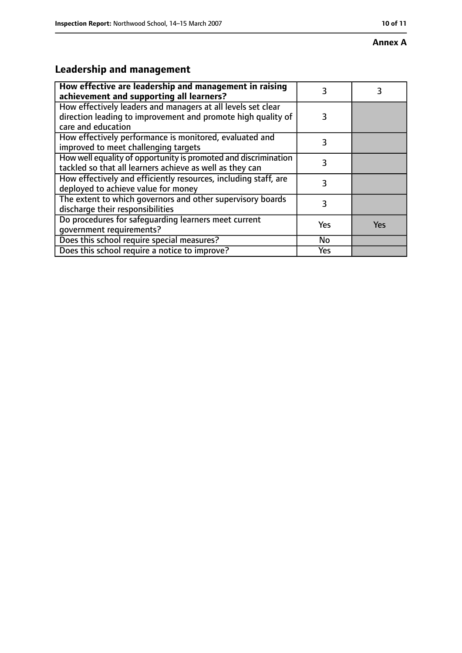#### **Annex A**

# **Leadership and management**

| How effective are leadership and management in raising<br>achievement and supporting all learners?                                                 |     |     |
|----------------------------------------------------------------------------------------------------------------------------------------------------|-----|-----|
| How effectively leaders and managers at all levels set clear<br>direction leading to improvement and promote high quality of<br>care and education | 3   |     |
| How effectively performance is monitored, evaluated and<br>improved to meet challenging targets                                                    | 3   |     |
| How well equality of opportunity is promoted and discrimination<br>tackled so that all learners achieve as well as they can                        | 3   |     |
| How effectively and efficiently resources, including staff, are<br>deployed to achieve value for money                                             | 3   |     |
| The extent to which governors and other supervisory boards<br>discharge their responsibilities                                                     | 3   |     |
| Do procedures for safequarding learners meet current<br>qovernment requirements?                                                                   | Yes | Yes |
| Does this school require special measures?                                                                                                         | No  |     |
| Does this school require a notice to improve?                                                                                                      | Yes |     |